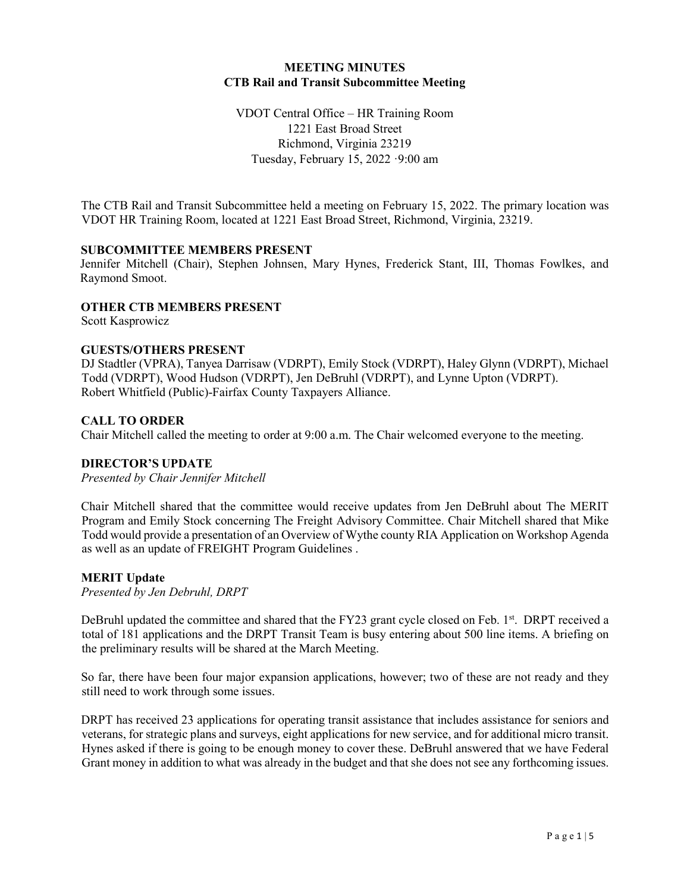## **MEETING MINUTES CTB Rail and Transit Subcommittee Meeting**

VDOT Central Office – HR Training Room 1221 East Broad Street Richmond, Virginia 23219 Tuesday, February 15, 2022 ·9:00 am

The CTB Rail and Transit Subcommittee held a meeting on February 15, 2022. The primary location was VDOT HR Training Room, located at 1221 East Broad Street, Richmond, Virginia, 23219.

### **SUBCOMMITTEE MEMBERS PRESENT**

Jennifer Mitchell (Chair), Stephen Johnsen, Mary Hynes, Frederick Stant, III, Thomas Fowlkes, and Raymond Smoot.

### **OTHER CTB MEMBERS PRESENT**

Scott Kasprowicz

### **GUESTS/OTHERS PRESENT**

DJ Stadtler (VPRA), Tanyea Darrisaw (VDRPT), Emily Stock (VDRPT), Haley Glynn (VDRPT), Michael Todd (VDRPT), Wood Hudson (VDRPT), Jen DeBruhl (VDRPT), and Lynne Upton (VDRPT). Robert Whitfield (Public)-Fairfax County Taxpayers Alliance.

### **CALL TO ORDER**

Chair Mitchell called the meeting to order at 9:00 a.m. The Chair welcomed everyone to the meeting.

#### **DIRECTOR'S UPDATE**

*Presented by Chair Jennifer Mitchell*

Chair Mitchell shared that the committee would receive updates from Jen DeBruhl about The MERIT Program and Emily Stock concerning The Freight Advisory Committee. Chair Mitchell shared that Mike Todd would provide a presentation of an Overview of Wythe county RIA Application on Workshop Agenda as well as an update of FREIGHT Program Guidelines .

#### **MERIT Update**

*Presented by Jen Debruhl, DRPT*

DeBruhl updated the committee and shared that the FY23 grant cycle closed on Feb. 1<sup>st</sup>. DRPT received a total of 181 applications and the DRPT Transit Team is busy entering about 500 line items. A briefing on the preliminary results will be shared at the March Meeting.

So far, there have been four major expansion applications, however; two of these are not ready and they still need to work through some issues.

DRPT has received 23 applications for operating transit assistance that includes assistance for seniors and veterans, for strategic plans and surveys, eight applications for new service, and for additional micro transit. Hynes asked if there is going to be enough money to cover these. DeBruhl answered that we have Federal Grant money in addition to what was already in the budget and that she does not see any forthcoming issues.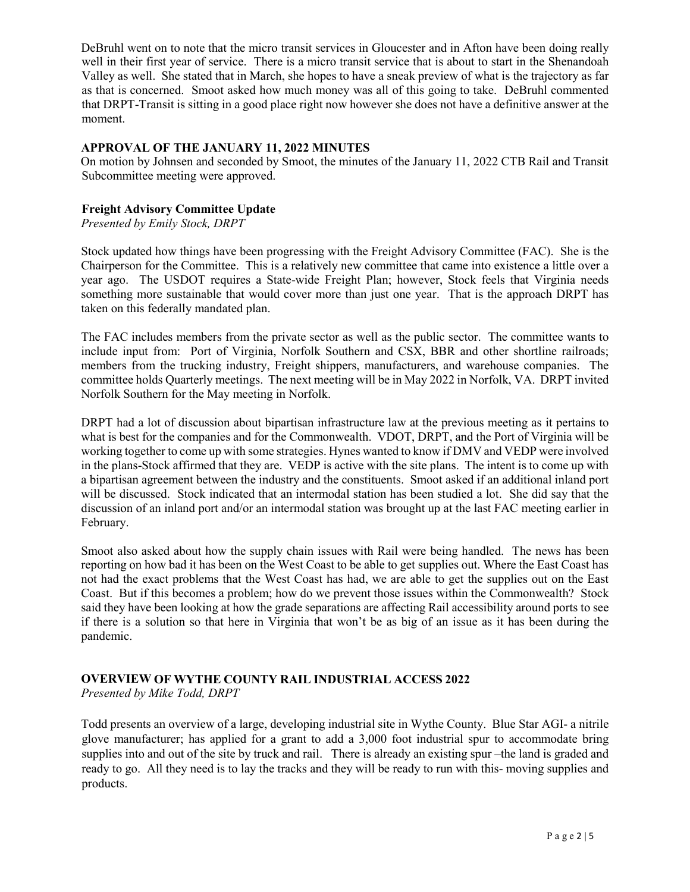DeBruhl went on to note that the micro transit services in Gloucester and in Afton have been doing really well in their first year of service. There is a micro transit service that is about to start in the Shenandoah Valley as well. She stated that in March, she hopes to have a sneak preview of what is the trajectory as far as that is concerned. Smoot asked how much money was all of this going to take. DeBruhl commented that DRPT-Transit is sitting in a good place right now however she does not have a definitive answer at the moment.

## **APPROVAL OF THE JANUARY 11, 2022 MINUTES**

On motion by Johnsen and seconded by Smoot, the minutes of the January 11, 2022 CTB Rail and Transit Subcommittee meeting were approved.

## **Freight Advisory Committee Update**

*Presented by Emily Stock, DRPT*

Stock updated how things have been progressing with the Freight Advisory Committee (FAC). She is the Chairperson for the Committee. This is a relatively new committee that came into existence a little over a year ago. The USDOT requires a State-wide Freight Plan; however, Stock feels that Virginia needs something more sustainable that would cover more than just one year. That is the approach DRPT has taken on this federally mandated plan.

The FAC includes members from the private sector as well as the public sector. The committee wants to include input from: Port of Virginia, Norfolk Southern and CSX, BBR and other shortline railroads; members from the trucking industry, Freight shippers, manufacturers, and warehouse companies. The committee holds Quarterly meetings. The next meeting will be in May 2022 in Norfolk, VA. DRPT invited Norfolk Southern for the May meeting in Norfolk.

DRPT had a lot of discussion about bipartisan infrastructure law at the previous meeting as it pertains to what is best for the companies and for the Commonwealth. VDOT, DRPT, and the Port of Virginia will be working together to come up with some strategies. Hynes wanted to know if DMV and VEDP were involved in the plans-Stock affirmed that they are. VEDP is active with the site plans. The intent is to come up with a bipartisan agreement between the industry and the constituents. Smoot asked if an additional inland port will be discussed. Stock indicated that an intermodal station has been studied a lot. She did say that the discussion of an inland port and/or an intermodal station was brought up at the last FAC meeting earlier in February.

Smoot also asked about how the supply chain issues with Rail were being handled. The news has been reporting on how bad it has been on the West Coast to be able to get supplies out. Where the East Coast has not had the exact problems that the West Coast has had, we are able to get the supplies out on the East Coast. But if this becomes a problem; how do we prevent those issues within the Commonwealth? Stock said they have been looking at how the grade separations are affecting Rail accessibility around ports to see if there is a solution so that here in Virginia that won't be as big of an issue as it has been during the pandemic.

# **OVERVIEW OF WYTHE COUNTY RAIL INDUSTRIAL ACCESS 2022**

*Presented by Mike Todd, DRPT*

Todd presents an overview of a large, developing industrial site in Wythe County. Blue Star AGI- a nitrile glove manufacturer; has applied for a grant to add a 3,000 foot industrial spur to accommodate bring supplies into and out of the site by truck and rail. There is already an existing spur –the land is graded and ready to go. All they need is to lay the tracks and they will be ready to run with this- moving supplies and products.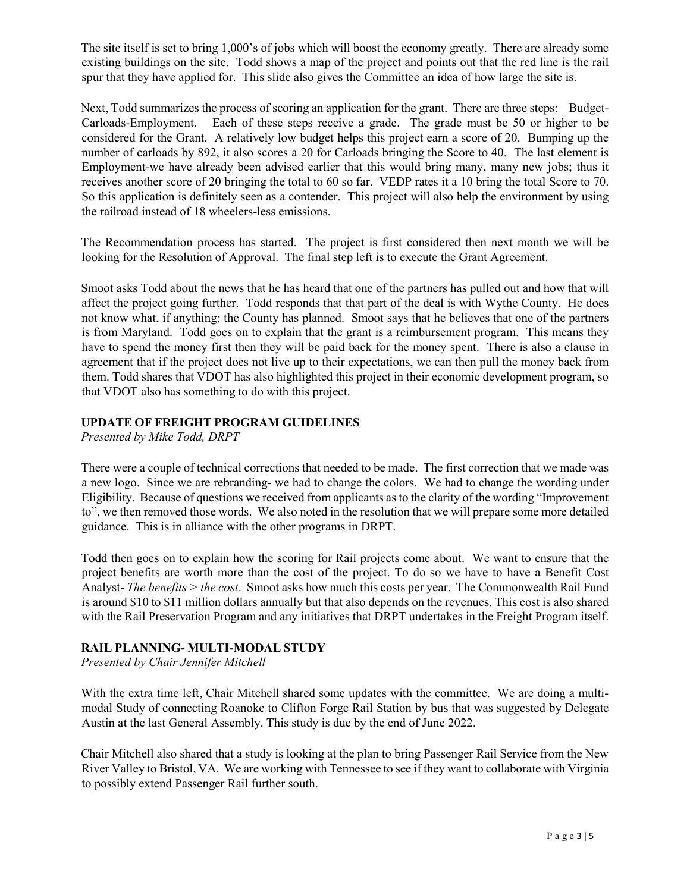The site itself is set to bring 1,000's of jobs which will boost the economy greatly. There are already some existing buildings on the site. Todd shows a map of the project and points out that the red line is the rail spur that they have applied for. This slide also gives the Committee an idea of how large the site is.

Next, Todd summarizes the process of scoring an application for the grant. There are three steps: Budget-Carloads-Employment. Each of these steps receive a grade. The grade must be 50 or higher to be considered for the Grant. A relatively low budget helps this project earn a score of 20. Bumping up the number of carloads by 892, it also scores a 20 for Carloads bringing the Score to 40. The last element is Employment-we have already been advised earlier that this would bring many, many new jobs; thus it receives another score of 20 bringing the total to 60 so far. VEDP rates it a 10 bring the total Score to 70. So this application is definitely seen as a contender. This project will also help the environment by using the railroad instead of 18 wheelers-less emissions.

The Recommendation process has started. The project is first considered then next month we will be looking for the Resolution of Approval. The final step left is to execute the Grant Agreement.

Smoot asks Todd about the news that he has heard that one of the partners has pulled out and how that will affect the project going further. Todd responds that that part of the deal is with Wythe County. He does not know what, if anything; the County has planned. Smoot says that he believes that one of the partners is from Maryland. Todd goes on to explain that the grant is a reimbursement program. This means they have to spend the money first then they will be paid back for the money spent. There is also a clause in agreement that if the project does not live up to their expectations, we can then pull the money back from them. Todd shares that VDOT has also highlighted this project in their economic development program, so that VDOT also has something to do with this project.

# **UPDATE OF FREIGHT PROGRAM GUIDELINES**

*Presented by Mike Todd, DRPT*

There were a couple of technical corrections that needed to be made. The first correction that we made was a new logo. Since we are rebranding- we had to change the colors. We had to change the wording under Eligibility. Because of questions we received from applicants as to the clarity of the wording "Improvement to", we then removed those words. We also noted in the resolution that we will prepare some more detailed guidance. This is in alliance with the other programs in DRPT.

Todd then goes on to explain how the scoring for Rail projects come about. We want to ensure that the project benefits are worth more than the cost of the project. To do so we have to have a Benefit Cost Analyst- *The benefits > the cost*. Smoot asks how much this costs per year. The Commonwealth Rail Fund is around \$10 to \$11 million dollars annually but that also depends on the revenues. This cost is also shared with the Rail Preservation Program and any initiatives that DRPT undertakes in the Freight Program itself.

# **RAIL PLANNING- MULTI-MODAL STUDY**

*Presented by Chair Jennifer Mitchell*

With the extra time left, Chair Mitchell shared some updates with the committee. We are doing a multimodal Study of connecting Roanoke to Clifton Forge Rail Station by bus that was suggested by Delegate Austin at the last General Assembly. This study is due by the end of June 2022.

Chair Mitchell also shared that a study is looking at the plan to bring Passenger Rail Service from the New River Valley to Bristol, VA. We are working with Tennessee to see if they want to collaborate with Virginia to possibly extend Passenger Rail further south.